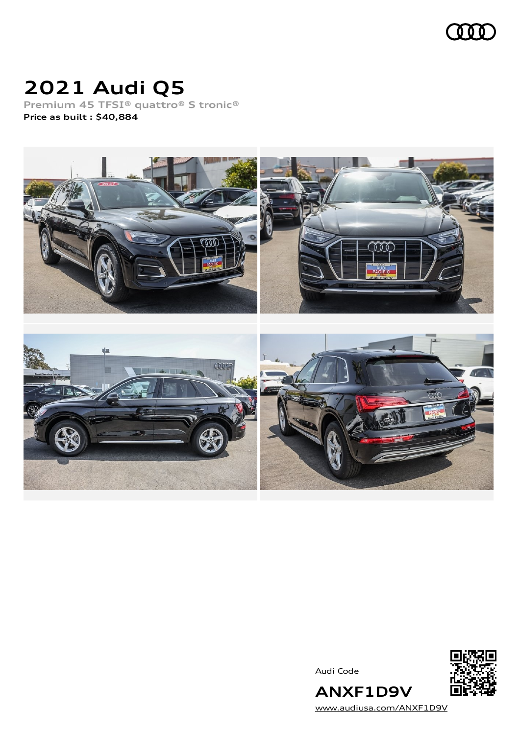

# **2021 Audi Q5**

**Premium 45 TFSI® quattro® S tronic® Price as built [:](#page-9-0) \$40,884**



Audi Code



[www.audiusa.com/ANXF1D9V](https://www.audiusa.com/ANXF1D9V)

**ANXF1D9V**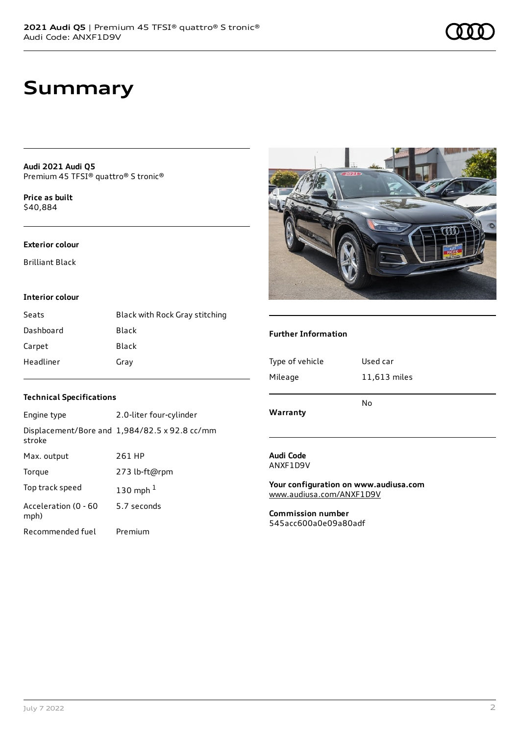## **Summary**

**Audi 2021 Audi Q5** Premium 45 TFSI® quattro® S tronic®

**Price as buil[t](#page-9-0)** \$40,884

### **Exterior colour**

Brilliant Black

### **Interior colour**

| Seats     | Black with Rock Gray stitching |
|-----------|--------------------------------|
| Dashboard | Black                          |
| Carpet    | Black                          |
| Headliner | Gray                           |



### **Further Information**

| Type of vehicle<br>Mileage | Used car<br>11,613 miles |
|----------------------------|--------------------------|
| Warranty                   | No                       |
|                            |                          |

### **Technical Specifications**

| Engine type                  | 2.0-liter four-cylinder                       |
|------------------------------|-----------------------------------------------|
| stroke                       | Displacement/Bore and 1,984/82.5 x 92.8 cc/mm |
| Max. output                  | 261 HP                                        |
| Torque                       | 273 lb-ft@rpm                                 |
| Top track speed              | 130 mph $1$                                   |
| Acceleration (0 - 60<br>mph) | 5.7 seconds                                   |
| Recommended fuel             | Premium                                       |

### **Audi Code** ANXF1D9V

**Your configuration on www.audiusa.com** [www.audiusa.com/ANXF1D9V](https://www.audiusa.com/ANXF1D9V)

**Commission number** 545acc600a0e09a80adf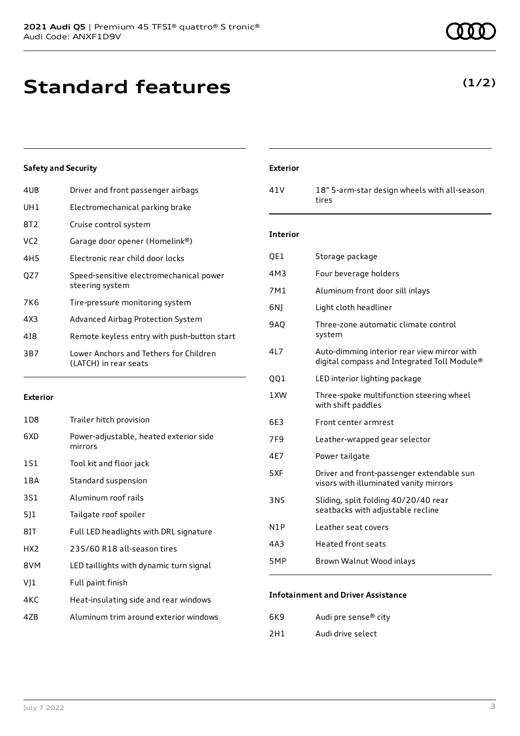## **Standard features**

### **Safety and Security**

| 4UB             | Driver and front passenger airbags                              |
|-----------------|-----------------------------------------------------------------|
| UH1             | Electromechanical parking brake                                 |
| 8T2.            | Cruise control system                                           |
| VC <sub>2</sub> | Garage door opener (Homelink®)                                  |
| 4H5             | Electronic rear child door locks                                |
| OZ7             | Speed-sensitive electromechanical power<br>steering system      |
| 7K6             | Tire-pressure monitoring system                                 |
| 4X3             | Advanced Airbag Protection System                               |
| 418             | Remote keyless entry with push-button start                     |
| 3B7             | Lower Anchors and Tethers for Children<br>(LATCH) in rear seats |

### **Exterior**

| 1D <sub>8</sub> | Trailer hitch provision                           |
|-----------------|---------------------------------------------------|
| 6XD             | Power-adjustable, heated exterior side<br>mirrors |
| 1S1             | Tool kit and floor jack                           |
| 1 B A           | Standard suspension                               |
| 3S1             | Aluminum roof rails                               |
| 511             | Tailgate roof spoiler                             |
| 8IT             | Full LED headlights with DRL signature            |
| HX <sub>2</sub> | 235/60 R18 all-season tires                       |
| 8VM             | LED taillights with dynamic turn signal           |
| VJ1             | Full paint finish                                 |
| 4KC             | Heat-insulating side and rear windows             |
| 47B             | Aluminum trim around exterior windows             |

### **Exterior**

41V 18" 5-arm-star design wheels with all-season tires

### **Interior**

| QE1 | Storage package                                                                            |
|-----|--------------------------------------------------------------------------------------------|
| 4M3 | Four beverage holders                                                                      |
| 7M1 | Aluminum front door sill inlays                                                            |
| 6N) | Light cloth headliner                                                                      |
| 9AQ | Three-zone automatic climate control<br>system                                             |
| 4L7 | Auto-dimming interior rear view mirror with<br>digital compass and Integrated Toll Module® |
| QQ1 | LED interior lighting package                                                              |
| 1XW | Three-spoke multifunction steering wheel<br>with shift paddles                             |
| 6E3 | Front center armrest                                                                       |
| 7F9 | Leather-wrapped gear selector                                                              |
| 4E7 | Power tailgate                                                                             |
| 5XF | Driver and front-passenger extendable sun<br>visors with illuminated vanity mirrors        |
| 3NS | Sliding, split folding 40/20/40 rear<br>seatbacks with adjustable recline                  |
| N1P | Leather seat covers                                                                        |
| 4A3 | <b>Heated front seats</b>                                                                  |
| 5MP | Brown Walnut Wood inlays                                                                   |
|     |                                                                                            |

### **Infotainment and Driver Assistance**

| 6K9 | Audi pre sense <sup>®</sup> city |
|-----|----------------------------------|
| 2H1 | Audi drive select                |

### **(1/2)**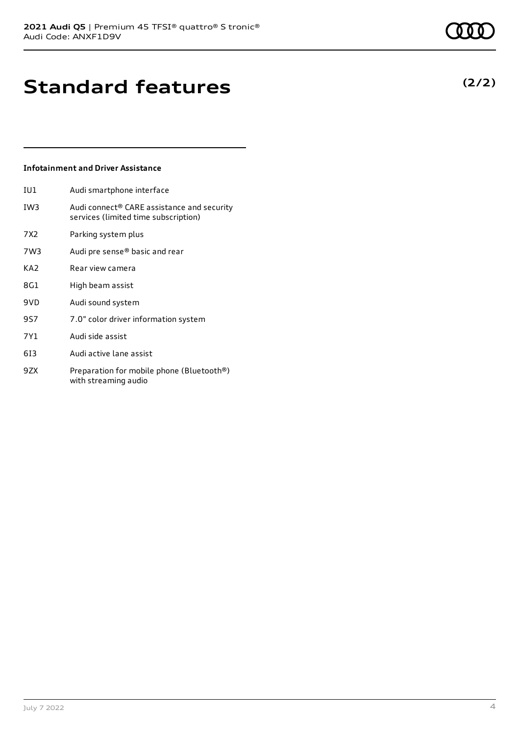## **(2/2)**

## **Standard features**

### **Infotainment and Driver Assistance**

IU1 Audi smartphone interface

- IW3 Audi connect® CARE assistance and security services (limited time subscription)
- 7X2 Parking system plus
- 7W3 Audi pre sense® basic and rear
- KA2 Rear view camera
- 8G1 High beam assist
- 9VD Audi sound system
- 9S7 7.0" color driver information system
- 7Y1 Audi side assist
- 6I3 Audi active lane assist
- 9ZX Preparation for mobile phone (Bluetooth®) with streaming audio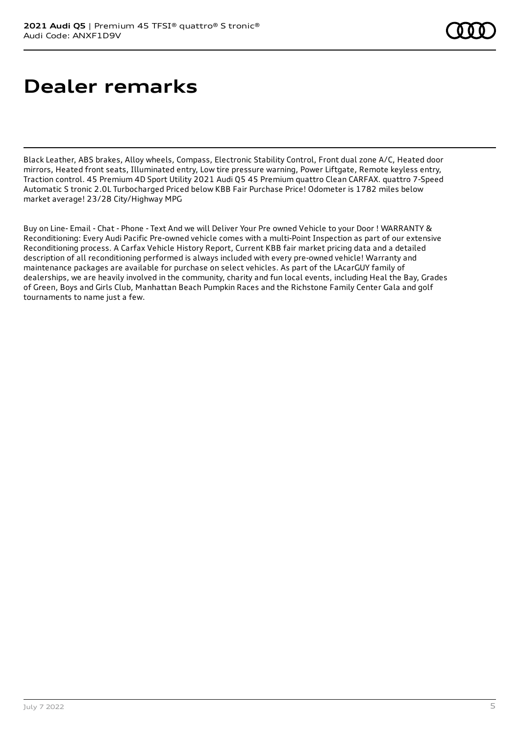## **Dealer remarks**

Black Leather, ABS brakes, Alloy wheels, Compass, Electronic Stability Control, Front dual zone A/C, Heated door mirrors, Heated front seats, Illuminated entry, Low tire pressure warning, Power Liftgate, Remote keyless entry, Traction control. 45 Premium 4D Sport Utility 2021 Audi Q5 45 Premium quattro Clean CARFAX. quattro 7-Speed Automatic S tronic 2.0L Turbocharged Priced below KBB Fair Purchase Price! Odometer is 1782 miles below market average! 23/28 City/Highway MPG

Buy on Line- Email - Chat - Phone - Text And we will Deliver Your Pre owned Vehicle to your Door ! WARRANTY & Reconditioning: Every Audi Pacific Pre-owned vehicle comes with a multi-Point Inspection as part of our extensive Reconditioning process. A Carfax Vehicle History Report, Current KBB fair market pricing data and a detailed description of all reconditioning performed is always included with every pre-owned vehicle! Warranty and maintenance packages are available for purchase on select vehicles. As part of the LAcarGUY family of dealerships, we are heavily involved in the community, charity and fun local events, including Heal the Bay, Grades of Green, Boys and Girls Club, Manhattan Beach Pumpkin Races and the Richstone Family Center Gala and golf tournaments to name just a few.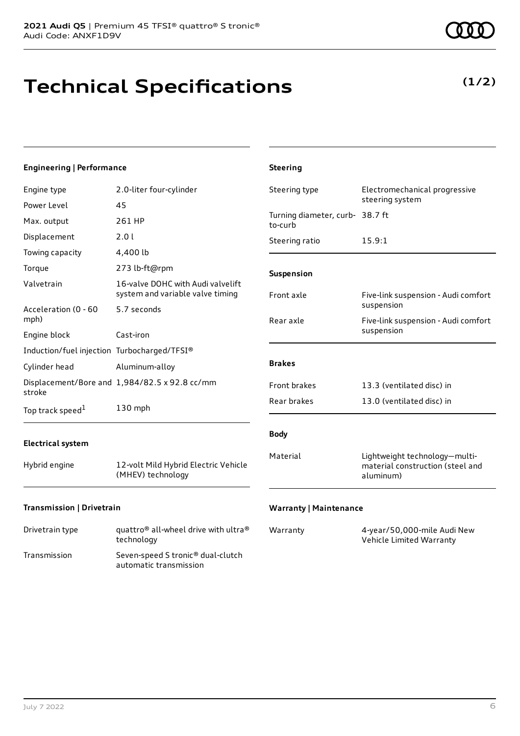# **Technical Specifications**

**(1/2)**

| <b>Engineering   Performance</b>            |                                                                       | <b>Steering</b>                            |                                                                                |
|---------------------------------------------|-----------------------------------------------------------------------|--------------------------------------------|--------------------------------------------------------------------------------|
| Engine type                                 | 2.0-liter four-cylinder                                               | Steering type                              | Electromechanical progressive                                                  |
| Power Level                                 | 45                                                                    |                                            | steering system                                                                |
| Max. output                                 | 261 HP                                                                | Turning diameter, curb- 38.7 ft<br>to-curb |                                                                                |
| Displacement                                | 2.0 l                                                                 | Steering ratio                             | 15.9:1                                                                         |
| Towing capacity                             | 4,400 lb                                                              |                                            |                                                                                |
| Torque                                      | 273 lb-ft@rpm                                                         | Suspension                                 |                                                                                |
| Valvetrain                                  | 16-valve DOHC with Audi valvelift<br>system and variable valve timing | Front axle                                 | Five-link suspension - Audi comfort                                            |
| Acceleration (0 - 60                        | 5.7 seconds                                                           |                                            | suspension                                                                     |
| mph)                                        |                                                                       | Rear axle                                  | Five-link suspension - Audi comfort<br>suspension                              |
| Engine block                                | Cast-iron                                                             |                                            |                                                                                |
| Induction/fuel injection Turbocharged/TFSI® |                                                                       |                                            |                                                                                |
| Cylinder head                               | Aluminum-alloy                                                        | <b>Brakes</b>                              |                                                                                |
| stroke                                      | Displacement/Bore and 1,984/82.5 x 92.8 cc/mm                         | Front brakes                               | 13.3 (ventilated disc) in                                                      |
| Top track speed <sup>1</sup>                | 130 mph                                                               | Rear brakes                                | 13.0 (ventilated disc) in                                                      |
| <b>Electrical system</b>                    |                                                                       | <b>Body</b>                                |                                                                                |
| Hybrid engine                               | 12-volt Mild Hybrid Electric Vehicle<br>(MHEV) technology             | Material                                   | Lightweight technology-multi-<br>material construction (steel and<br>aluminum) |
| Transmission   Drivetrain                   |                                                                       | <b>Warranty   Maintenance</b>              |                                                                                |

| Drivetrain type | quattro <sup>®</sup> all-wheel drive with ultra <sup>®</sup> |
|-----------------|--------------------------------------------------------------|
|                 | technology                                                   |

| Transmission | Seven-speed S tronic <sup>®</sup> dual-clutch |
|--------------|-----------------------------------------------|
|              | automatic transmission                        |

| Warranty | 4-year/50,000-mile Audi New |
|----------|-----------------------------|
|          | Vehicle Limited Warranty    |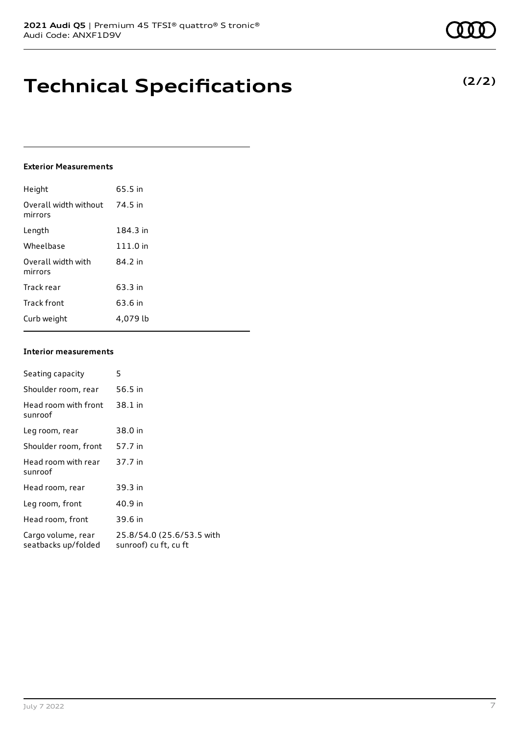## **Technical Specifications**

### **Exterior Measurements**

| Height                           | 65.5 in  |
|----------------------------------|----------|
| Overall width without<br>mirrors | 74.5 in  |
| Length                           | 184.3 in |
| Wheelbase                        | 111.0 in |
| Overall width with<br>mirrors    | 84.2 in  |
| Track rear                       | 63.3 in  |
| Track front                      | 63.6 in  |
| Curb weight                      | 4.079 lb |

### **Interior measurements**

| Seating capacity                          | 5                                                  |
|-------------------------------------------|----------------------------------------------------|
| Shoulder room, rear                       | 56.5 in                                            |
| Head room with front<br>sunroof           | 38.1 in                                            |
| Leg room, rear                            | 38.0 in                                            |
| Shoulder room, front                      | 57.7 in                                            |
| Head room with rear<br>sunroof            | 37.7 in                                            |
| Head room, rear                           | 39.3 in                                            |
| Leg room, front                           | 40.9 in                                            |
| Head room, front                          | 39.6 in                                            |
| Cargo volume, rear<br>seatbacks up/folded | 25.8/54.0 (25.6/53.5 with<br>sunroof) cu ft, cu ft |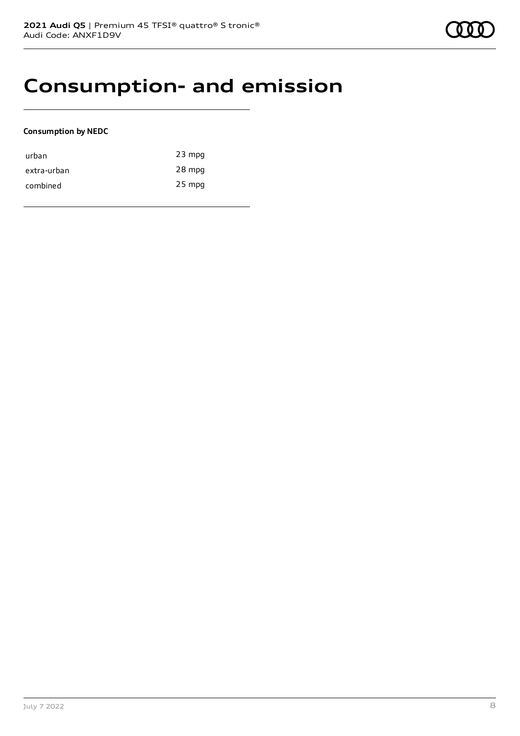## **Consumption- and emission**

### **Consumption by NEDC**

| urban       | $23$ mpg |
|-------------|----------|
| extra-urban | 28 mpg   |
| combined    | $25$ mpg |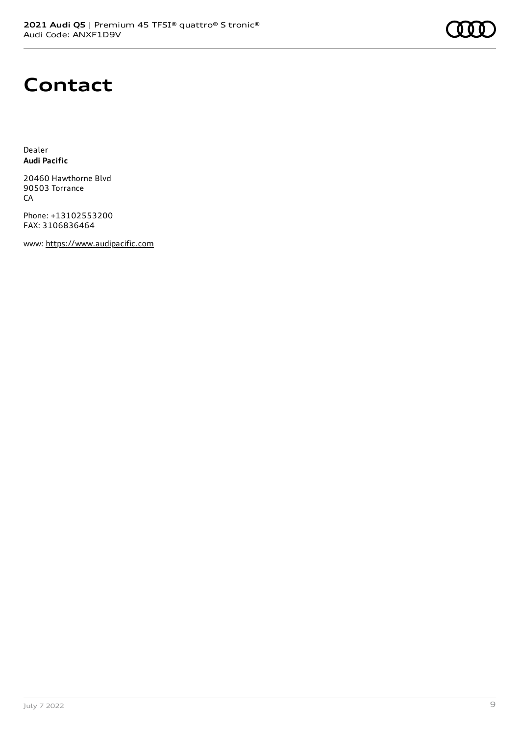

## **Contact**

Dealer **Audi Pacific**

20460 Hawthorne Blvd 90503 Torrance CA

Phone: +13102553200 FAX: 3106836464

www: [https://www.audipacific.com](https://www.audipacific.com/)